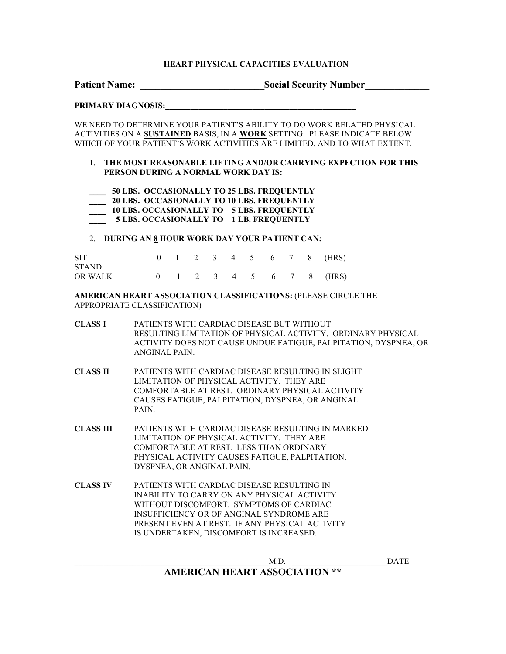### **HEART PHYSICAL CAPACITIES EVALUATION**

Patient Name: \_\_\_\_\_\_\_\_\_\_\_\_\_\_\_\_\_\_\_\_\_\_\_\_\_\_\_\_\_Social Security Number\_\_\_\_\_\_\_\_\_\_\_\_\_\_\_\_

#### **PRIMARY DIAGNOSIS:\_\_\_\_\_\_\_\_\_\_\_\_\_\_\_\_\_\_\_\_\_\_\_\_\_\_\_\_\_\_\_\_\_\_\_\_\_\_\_\_\_\_\_\_\_\_**

WE NEED TO DETERMINE YOUR PATIENT'S ABILITY TO DO WORK RELATED PHYSICAL ACTIVITIES ON A **SUSTAINED** BASIS, IN A **WORK** SETTING. PLEASE INDICATE BELOW WHICH OF YOUR PATIENT'S WORK ACTIVITIES ARE LIMITED, AND TO WHAT EXTENT.

- 1. **THE MOST REASONABLE LIFTING AND/OR CARRYING EXPECTION FOR THIS PERSON DURING A NORMAL WORK DAY IS:**
- **\_\_\_\_ 50 LBS. OCCASIONALLY TO 25 LBS. FREQUENTLY \_\_\_\_ 20 LBS. OCCASIONALLY TO 10 LBS. FREQUENTLY \_\_\_\_ 10 LBS. OCCASIONALLY TO 5 LBS. FREQUENTLY \_\_\_\_ 5 LBS. OCCASIONALLY TO 1 LB. FREQUENTLY**

#### 2. **DURING AN 8 HOUR WORK DAY YOUR PATIENT CAN:**

| <b>SIT</b>   |  |  |  |  | 0 1 2 3 4 5 6 7 8 (HRS) |
|--------------|--|--|--|--|-------------------------|
| <b>STAND</b> |  |  |  |  |                         |
| OR WALK      |  |  |  |  | 0 1 2 3 4 5 6 7 8 (HRS) |

#### **AMERICAN HEART ASSOCIATION CLASSIFICATIONS:** (PLEASE CIRCLE THE APPROPRIATE CLASSIFICATION)

- **CLASS I** PATIENTS WITH CARDIAC DISEASE BUT WITHOUT RESULTING LIMITATION OF PHYSICAL ACTIVITY. ORDINARY PHYSICAL ACTIVITY DOES NOT CAUSE UNDUE FATIGUE, PALPITATION, DYSPNEA, OR ANGINAL PAIN.
- **CLASS II** PATIENTS WITH CARDIAC DISEASE RESULTING IN SLIGHT LIMITATION OF PHYSICAL ACTIVITY. THEY ARE COMFORTABLE AT REST. ORDINARY PHYSICAL ACTIVITY CAUSES FATIGUE, PALPITATION, DYSPNEA, OR ANGINAL PAIN.
- **CLASS III** PATIENTS WITH CARDIAC DISEASE RESULTING IN MARKED LIMITATION OF PHYSICAL ACTIVITY. THEY ARE COMFORTABLE AT REST. LESS THAN ORDINARY PHYSICAL ACTIVITY CAUSES FATIGUE, PALPITATION, DYSPNEA, OR ANGINAL PAIN.
- **CLASS IV** PATIENTS WITH CARDIAC DISEASE RESULTING IN INABILITY TO CARRY ON ANY PHYSICAL ACTIVITY WITHOUT DISCOMFORT. SYMPTOMS OF CARDIAC INSUFFICIENCY OR OF ANGINAL SYNDROME ARE PRESENT EVEN AT REST. IF ANY PHYSICAL ACTIVITY IS UNDERTAKEN, DISCOMFORT IS INCREASED.